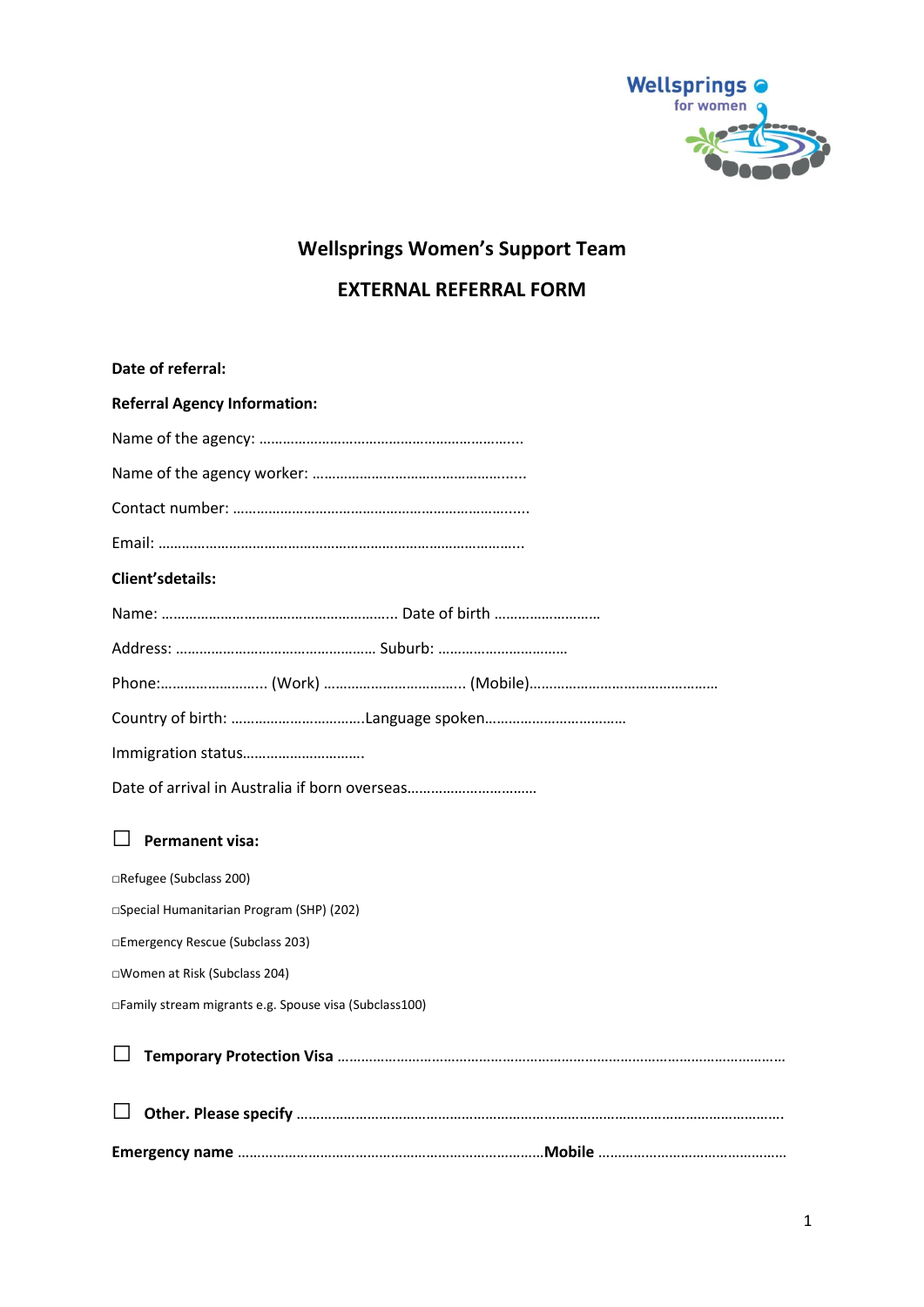

# **Wellsprings Women's Support Team**

## **EXTERNAL REFERRAL FORM**

| Date of referral:                                      |
|--------------------------------------------------------|
| <b>Referral Agency Information:</b>                    |
|                                                        |
|                                                        |
|                                                        |
|                                                        |
| <b>Client'sdetails:</b>                                |
|                                                        |
|                                                        |
|                                                        |
|                                                        |
|                                                        |
|                                                        |
| <b>Permanent visa:</b>                                 |
| □Refugee (Subclass 200)                                |
| □Special Humanitarian Program (SHP) (202)              |
| □Emergency Rescue (Subclass 203)                       |
| □Women at Risk (Subclass 204)                          |
| □Family stream migrants e.g. Spouse visa (Subclass100) |
|                                                        |
|                                                        |
|                                                        |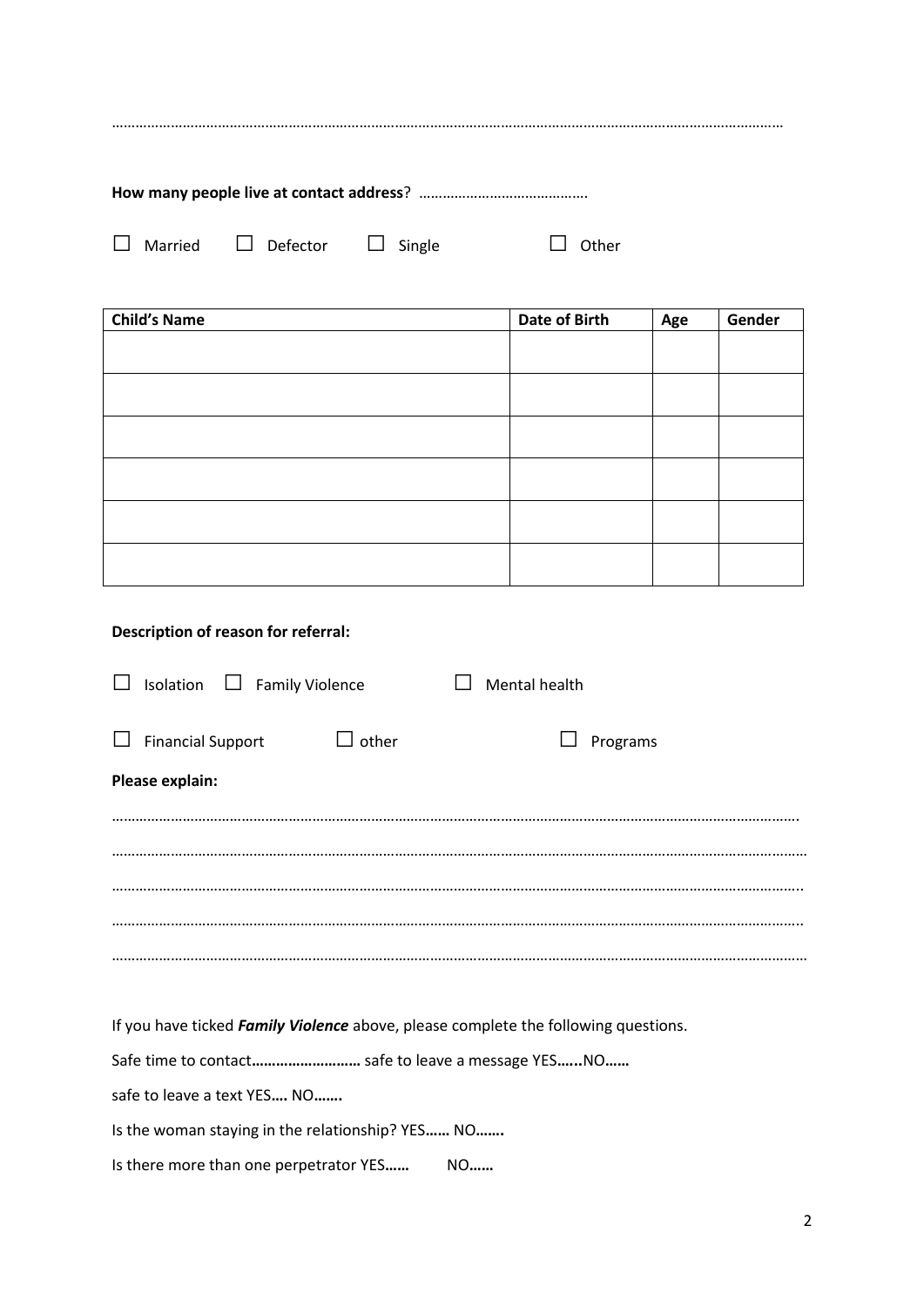| $\perp$ | Married $\Box$ Defector $\Box$ Single |  | <b>Other</b> |  |  |
|---------|---------------------------------------|--|--------------|--|--|

| <b>Child's Name</b> | Date of Birth | Age | Gender |
|---------------------|---------------|-----|--------|
|                     |               |     |        |
|                     |               |     |        |
|                     |               |     |        |
|                     |               |     |        |
|                     |               |     |        |
|                     |               |     |        |
|                     |               |     |        |
|                     |               |     |        |
|                     |               |     |        |
|                     |               |     |        |
|                     |               |     |        |
|                     |               |     |        |

### **Description of reason for referral:**

|                                                                                    | Isolation                                        | <b>Family Violence</b><br>$\Box$ |                                                    | Mental health |          |
|------------------------------------------------------------------------------------|--------------------------------------------------|----------------------------------|----------------------------------------------------|---------------|----------|
|                                                                                    | <b>Financial Support</b>                         |                                  | other<br>$\Box$                                    |               | Programs |
|                                                                                    | Please explain:                                  |                                  |                                                    |               |          |
|                                                                                    |                                                  |                                  |                                                    |               |          |
|                                                                                    |                                                  |                                  |                                                    |               |          |
|                                                                                    |                                                  |                                  |                                                    |               |          |
|                                                                                    |                                                  |                                  |                                                    |               |          |
| If you have ticked Family Violence above, please complete the following questions. |                                                  |                                  |                                                    |               |          |
|                                                                                    |                                                  |                                  | Safe time to contact safe to leave a message YESNO |               |          |
|                                                                                    |                                                  | safe to leave a text YES NO      |                                                    |               |          |
|                                                                                    | Is the woman staying in the relationship? YES NO |                                  |                                                    |               |          |

Is there more than one perpetrator YES**……** NO**……**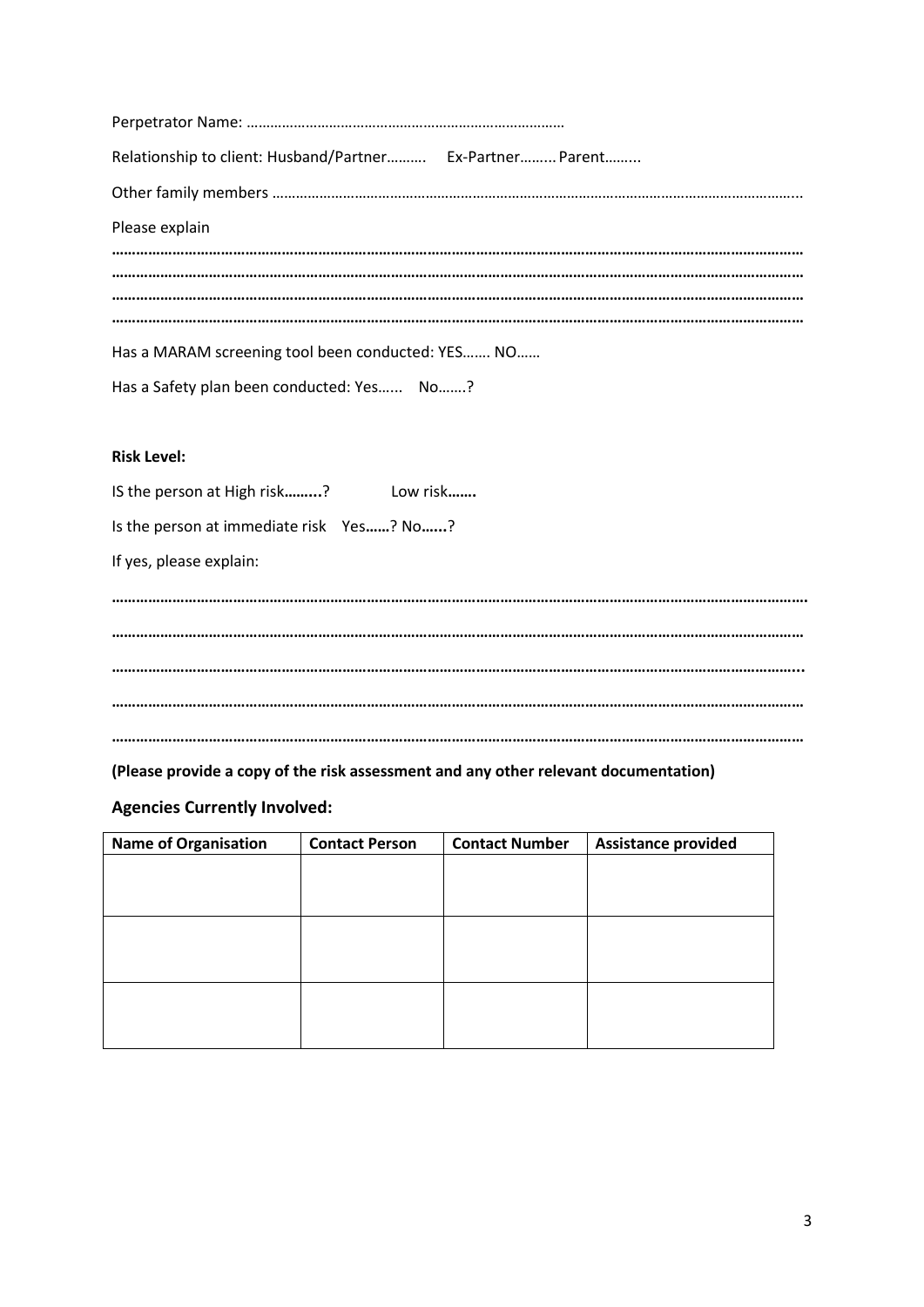| Relationship to client: Husband/Partner Ex-Partner Parent |  |
|-----------------------------------------------------------|--|
|                                                           |  |
| Please explain                                            |  |
|                                                           |  |
|                                                           |  |
|                                                           |  |
| Has a MARAM screening tool been conducted: YES NO         |  |
| Has a Safety plan been conducted: Yes No?                 |  |

#### **Risk Level:**

IS the person at High risk**……...**? Low risk**…….**

Is the person at immediate risk Yes**……**? No**…...**?

If yes, please explain:

**………………………………………………………………………………………………………………………………………………………. ……………………………………………………………………………………………………………………………………………………… ……………………………………………………………………………………………………………………………………………………... ……………………………………………………………………………………………………………………………………………………… ………………………………………………………………………………………………………………………………………………………**

**(Please provide a copy of the risk assessment and any other relevant documentation)**

#### **Agencies Currently Involved:**

| <b>Name of Organisation</b> | <b>Contact Person</b> | <b>Contact Number</b> | <b>Assistance provided</b> |
|-----------------------------|-----------------------|-----------------------|----------------------------|
|                             |                       |                       |                            |
|                             |                       |                       |                            |
|                             |                       |                       |                            |
|                             |                       |                       |                            |
|                             |                       |                       |                            |
|                             |                       |                       |                            |
|                             |                       |                       |                            |
|                             |                       |                       |                            |
|                             |                       |                       |                            |